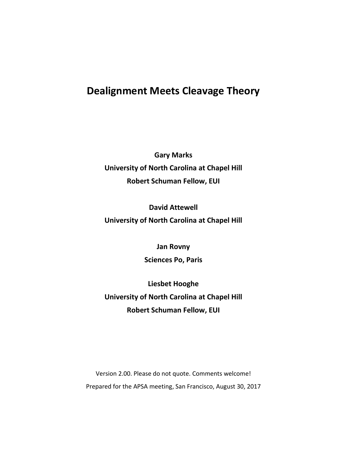# **Dealignment Meets Cleavage Theory**

**Gary Marks University of North Carolina at Chapel Hill Robert Schuman Fellow, EUI**

**David Attewell University of North Carolina at Chapel Hill**

**Jan Rovny**

### **Sciences Po, Paris**

**Liesbet Hooghe University of North Carolina at Chapel Hill Robert Schuman Fellow, EUI**

Version 2.00. Please do not quote. Comments welcome! Prepared for the APSA meeting, San Francisco, August 30, 2017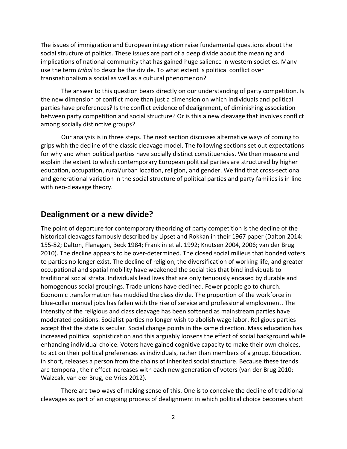The issues of immigration and European integration raise fundamental questions about the social structure of politics. These issues are part of a deep divide about the meaning and implications of national community that has gained huge salience in western societies. Many use the term *tribal* to describe the divide. To what extent is political conflict over transnationalism a social as well as a cultural phenomenon?

The answer to this question bears directly on our understanding of party competition. Is the new dimension of conflict more than just a dimension on which individuals and political parties have preferences? Is the conflict evidence of dealignment, of diminishing association between party competition and social structure? Or is this a new cleavage that involves conflict among socially distinctive groups?

Our analysis is in three steps. The next section discusses alternative ways of coming to grips with the decline of the classic cleavage model. The following sections set out expectations for why and when political parties have socially distinct constituencies. We then measure and explain the extent to which contemporary European political parties are structured by higher education, occupation, rural/urban location, religion, and gender. We find that cross-sectional and generational variation in the social structure of political parties and party families is in line with neo-cleavage theory.

### **Dealignment or a new divide?**

The point of departure for contemporary theorizing of party competition is the decline of the historical cleavages famously described by Lipset and Rokkan in their 1967 paper (Dalton 2014: 155-82; Dalton, Flanagan, Beck 1984; Franklin et al. 1992; Knutsen 2004, 2006; van der Brug 2010). The decline appears to be over-determined. The closed social milieus that bonded voters to parties no longer exist. The decline of religion, the diversification of working life, and greater occupational and spatial mobility have weakened the social ties that bind individuals to traditional social strata. Individuals lead lives that are only tenuously encased by durable and homogenous social groupings. Trade unions have declined. Fewer people go to church. Economic transformation has muddied the class divide. The proportion of the workforce in blue-collar manual jobs has fallen with the rise of service and professional employment. The intensity of the religious and class cleavage has been softened as mainstream parties have moderated positions. Socialist parties no longer wish to abolish wage labor. Religious parties accept that the state is secular. Social change points in the same direction. Mass education has increased political sophistication and this arguably loosens the effect of social background while enhancing individual choice. Voters have gained cognitive capacity to make their own choices, to act on their political preferences as individuals, rather than members of a group. Education, in short, releases a person from the chains of inherited social structure. Because these trends are temporal, their effect increases with each new generation of voters (van der Brug 2010; Walzcak, van der Brug, de Vries 2012).

There are two ways of making sense of this. One is to conceive the decline of traditional cleavages as part of an ongoing process of dealignment in which political choice becomes short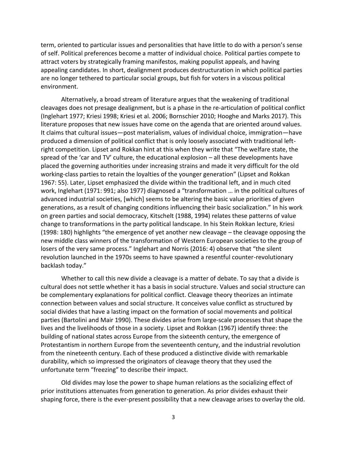term, oriented to particular issues and personalities that have little to do with a person's sense of self. Political preferences become a matter of individual choice. Political parties compete to attract voters by strategically framing manifestos, making populist appeals, and having appealing candidates. In short, dealignment produces destructuration in which political parties are no longer tethered to particular social groups, but fish for voters in a viscous political environment.

Alternatively, a broad stream of literature argues that the weakening of traditional cleavages does not presage dealignment, but is a phase in the re-articulation of political conflict (Inglehart 1977; Kriesi 1998; Kriesi et al. 2006; Bornschier 2010; Hooghe and Marks 2017). This literature proposes that new issues have come on the agenda that are oriented around values. It claims that cultural issues—post materialism, values of individual choice, immigration—have produced a dimension of political conflict that is only loosely associated with traditional leftright competition. Lipset and Rokkan hint at this when they write that "The welfare state, the spread of the 'car and TV' culture, the educational explosion – all these developments have placed the governing authorities under increasing strains and made it very difficult for the old working-class parties to retain the loyalties of the younger generation" (Lipset and Rokkan 1967: 55). Later, Lipset emphasized the divide within the traditional left, and in much cited work, Inglehart (1971: 991; also 1977) diagnosed a "transformation … in the political cultures of advanced industrial societies, [which] seems to be altering the basic value priorities of given generations, as a result of changing conditions influencing their basic socialization." In his work on green parties and social democracy, Kitschelt (1988, 1994) relates these patterns of value change to transformations in the party political landscape. In his Stein Rokkan lecture, Kriesi (1998: 180) highlights "the emergence of yet another new cleavage – the cleavage opposing the new middle class winners of the transformation of Western European societies to the group of losers of the very same process." Inglehart and Norris (2016: 4) observe that "the silent revolution launched in the 1970s seems to have spawned a resentful counter-revolutionary backlash today."

Whether to call this new divide a cleavage is a matter of debate. To say that a divide is cultural does not settle whether it has a basis in social structure. Values and social structure can be complementary explanations for political conflict. Cleavage theory theorizes an intimate connection between values and social structure. It conceives value conflict as structured by social divides that have a lasting impact on the formation of social movements and political parties (Bartolini and Mair 1990). These divides arise from large-scale processes that shape the lives and the livelihoods of those in a society. Lipset and Rokkan (1967) identify three: the building of national states across Europe from the sixteenth century, the emergence of Protestantism in northern Europe from the seventeenth century, and the industrial revolution from the nineteenth century. Each of these produced a distinctive divide with remarkable durability, which so impressed the originators of cleavage theory that they used the unfortunate term "freezing" to describe their impact.

Old divides may lose the power to shape human relations as the socializing effect of prior institutions attenuates from generation to generation. As prior divides exhaust their shaping force, there is the ever-present possibility that a new cleavage arises to overlay the old.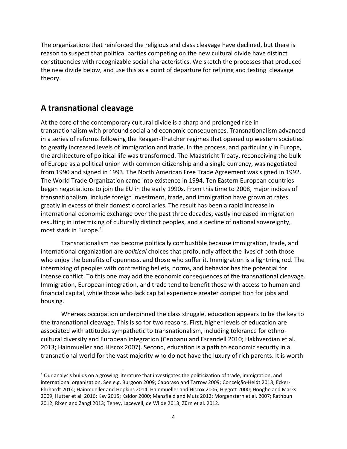The organizations that reinforced the religious and class cleavage have declined, but there is reason to suspect that political parties competing on the new cultural divide have distinct constituencies with recognizable social characteristics. We sketch the processes that produced the new divide below, and use this as a point of departure for refining and testing cleavage theory.

### **A transnational cleavage**

 $\overline{\phantom{a}}$ 

At the core of the contemporary cultural divide is a sharp and prolonged rise in transnationalism with profound social and economic consequences. Transnationalism advanced in a series of reforms following the Reagan-Thatcher regimes that opened up western societies to greatly increased levels of immigration and trade. In the process, and particularly in Europe, the architecture of political life was transformed. The Maastricht Treaty, reconceiving the bulk of Europe as a political union with common citizenship and a single currency, was negotiated from 1990 and signed in 1993. The North American Free Trade Agreement was signed in 1992. The World Trade Organization came into existence in 1994. Ten Eastern European countries began negotiations to join the EU in the early 1990s. From this time to 2008, major indices of transnationalism, include foreign investment, trade, and immigration have grown at rates greatly in excess of their domestic corollaries. The result has been a rapid increase in international economic exchange over the past three decades, vastly increased immigration resulting in intermixing of culturally distinct peoples, and a decline of national sovereignty, most stark in Europe.<sup>1</sup>

Transnationalism has become politically combustible because immigration, trade, and international organization are *political* choices that profoundly affect the lives of both those who enjoy the benefits of openness, and those who suffer it. Immigration is a lightning rod. The intermixing of peoples with contrasting beliefs, norms, and behavior has the potential for intense conflict. To this one may add the economic consequences of the transnational cleavage. Immigration, European integration, and trade tend to benefit those with access to human and financial capital, while those who lack capital experience greater competition for jobs and housing.

Whereas occupation underpinned the class struggle, education appears to be the key to the transnational cleavage. This is so for two reasons. First, higher levels of education are associated with attitudes sympathetic to transnationalism, including tolerance for ethnocultural diversity and European integration (Ceobanu and Escandell 2010; Hakhverdian et al. 2013; Hainmueller and Hiscox 2007). Second, education is a path to economic security in a transnational world for the vast majority who do not have the luxury of rich parents. It is worth

 $1$  Our analysis builds on a growing literature that investigates the politicization of trade, immigration, and international organization. See e.g. Burgoon 2009; Caporaso and Tarrow 2009; Conceição-Heldt 2013; Ecker-Ehrhardt 2014; Hainmueller and Hopkins 2014; Hainmueller and Hiscox 2006; Higgott 2000; Hooghe and Marks 2009; Hutter et al. 2016; Kay 2015; Kaldor 2000; Mansfield and Mutz 2012; Morgenstern et al. 2007; Rathbun 2012; Rixen and Zangl 2013; Teney, Lacewell, de Wilde 2013; Zürn et al. 2012.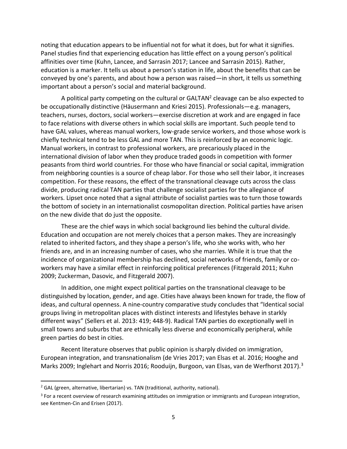noting that education appears to be influential not for what it does, but for what it signifies. Panel studies find that experiencing education has little effect on a young person's political affinities over time (Kuhn, Lancee, and Sarrasin 2017; Lancee and Sarrasin 2015). Rather, education is a marker. It tells us about a person's station in life, about the benefits that can be conveyed by one's parents, and about how a person was raised—in short, it tells us something important about a person's social and material background.

A political party competing on the cultural or  $GALTAN<sup>2</sup>$  cleavage can be also expected to be occupationally distinctive (Häusermann and Kriesi 2015). Professionals—e.g. managers, teachers, nurses, doctors, social workers—exercise discretion at work and are engaged in face to face relations with diverse others in which social skills are important. Such people tend to have GAL values, whereas manual workers, low-grade service workers, and those whose work is chiefly technical tend to be less GAL and more TAN. This is reinforced by an economic logic. Manual workers, in contrast to professional workers, are precariously placed in the international division of labor when they produce traded goods in competition with former peasants from third world countries. For those who have financial or social capital, immigration from neighboring counties is a source of cheap labor. For those who sell their labor, it increases competition. For these reasons, the effect of the transnational cleavage cuts across the class divide, producing radical TAN parties that challenge socialist parties for the allegiance of workers. Lipset once noted that a signal attribute of socialist parties was to turn those towards the bottom of society in an internationalist cosmopolitan direction. Political parties have arisen on the new divide that do just the opposite.

These are the chief ways in which social background lies behind the cultural divide. Education and occupation are not merely choices that a person makes. They are increasingly related to inherited factors, and they shape a person's life, who she works with, who her friends are, and in an increasing number of cases, who she marries. While it is true that the incidence of organizational membership has declined, social networks of friends, family or coworkers may have a similar effect in reinforcing political preferences (Fitzgerald 2011; Kuhn 2009; Zuckerman, Dasovic, and Fitzgerald 2007).

In addition, one might expect political parties on the transnational cleavage to be distinguished by location, gender, and age. Cities have always been known for trade, the flow of ideas, and cultural openness. A nine-country comparative study concludes that "Identical social groups living in metropolitan places with distinct interests and lifestyles behave in starkly different ways" (Sellers et al. 2013: 419; 448-9). Radical TAN parties do exceptionally well in small towns and suburbs that are ethnically less diverse and economically peripheral, while green parties do best in cities.

Recent literature observes that public opinion is sharply divided on immigration, European integration, and transnationalism (de Vries 2017; van Elsas et al. 2016; Hooghe and Marks 2009; Inglehart and Norris 2016; Rooduijn, Burgoon, van Elsas, van de Werfhorst 2017).<sup>3</sup>

 $\overline{a}$ 

<sup>&</sup>lt;sup>2</sup> GAL (green, alternative, libertarian) vs. TAN (traditional, authority, national).

<sup>&</sup>lt;sup>3</sup> For a recent overview of research examining attitudes on immigration or immigrants and European integration, see Kentmen-Cin and Erisen (2017).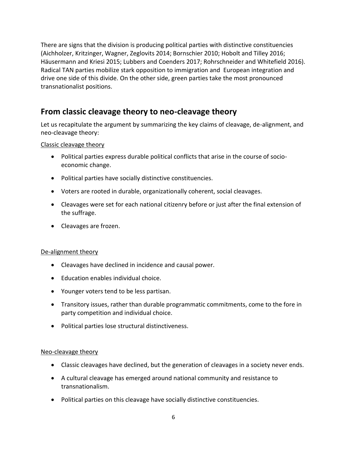There are signs that the division is producing political parties with distinctive constituencies (Aichholzer, Kritzinger, Wagner, Zeglovits 2014; Bornschier 2010; Hobolt and Tilley 2016; Häusermann and Kriesi 2015; Lubbers and Coenders 2017; Rohrschneider and Whitefield 2016). Radical TAN parties mobilize stark opposition to immigration and European integration and drive one side of this divide. On the other side, green parties take the most pronounced transnationalist positions.

### **From classic cleavage theory to neo-cleavage theory**

Let us recapitulate the argument by summarizing the key claims of cleavage, de-alignment, and neo-cleavage theory:

Classic cleavage theory

- Political parties express durable political conflicts that arise in the course of socioeconomic change.
- Political parties have socially distinctive constituencies.
- Voters are rooted in durable, organizationally coherent, social cleavages.
- Cleavages were set for each national citizenry before or just after the final extension of the suffrage.
- Cleavages are frozen.

#### De-alignment theory

- Cleavages have declined in incidence and causal power.
- Education enables individual choice.
- Younger voters tend to be less partisan.
- Transitory issues, rather than durable programmatic commitments, come to the fore in party competition and individual choice.
- Political parties lose structural distinctiveness.

#### Neo-cleavage theory

- Classic cleavages have declined, but the generation of cleavages in a society never ends.
- A cultural cleavage has emerged around national community and resistance to transnationalism.
- Political parties on this cleavage have socially distinctive constituencies.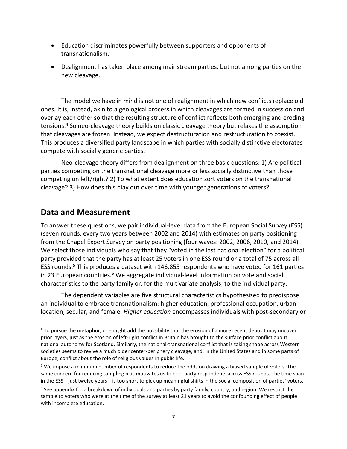- Education discriminates powerfully between supporters and opponents of transnationalism.
- Dealignment has taken place among mainstream parties, but not among parties on the new cleavage.

The model we have in mind is not one of realignment in which new conflicts replace old ones. It is, instead, akin to a geological process in which cleavages are formed in succession and overlay each other so that the resulting structure of conflict reflects both emerging and eroding tensions.<sup>4</sup> So neo-cleavage theory builds on classic cleavage theory but relaxes the assumption that cleavages are frozen. Instead, we expect destructuration and restructuration to coexist. This produces a diversified party landscape in which parties with socially distinctive electorates compete with socially generic parties.

Neo-cleavage theory differs from dealignment on three basic questions: 1) Are political parties competing on the transnational cleavage more or less socially distinctive than those competing on left/right? 2) To what extent does education sort voters on the transnational cleavage? 3) How does this play out over time with younger generations of voters?

### **Data and Measurement**

 $\overline{\phantom{a}}$ 

To answer these questions, we pair individual-level data from the European Social Survey (ESS) (seven rounds, every two years between 2002 and 2014) with estimates on party positioning from the Chapel Expert Survey on party positioning (four waves: 2002, 2006, 2010, and 2014). We select those individuals who say that they "voted in the last national election" for a political party provided that the party has at least 25 voters in one ESS round or a total of 75 across all ESS rounds.<sup>5</sup> This produces a dataset with 146,855 respondents who have voted for 161 parties in 23 European countries. $6$  We aggregate individual-level information on vote and social characteristics to the party family or, for the multivariate analysis, to the individual party.

The dependent variables are five structural characteristics hypothesized to predispose an individual to embrace transnationalism: higher education, professional occupation, urban location, secular, and female. *Higher education* encompasses individuals with post-secondary or

<sup>&</sup>lt;sup>4</sup> To pursue the metaphor, one might add the possibility that the erosion of a more recent deposit may uncover prior layers, just as the erosion of left-right conflict in Britain has brought to the surface prior conflict about national autonomy for Scotland. Similarly, the national-transnational conflict that is taking shape across Western societies seems to revive a much older center-periphery cleavage, and, in the United States and in some parts of Europe, conflict about the role of religious values in public life.

<sup>&</sup>lt;sup>5</sup> We impose a minimum number of respondents to reduce the odds on drawing a biased sample of voters. The same concern for reducing sampling bias motivates us to pool party respondents across ESS rounds. The time span in the ESS—just twelve years—is too short to pick up meaningful shifts in the social composition of parties' voters.

<sup>&</sup>lt;sup>6</sup> See appendix for a breakdown of individuals and parties by party family, country, and region. We restrict the sample to voters who were at the time of the survey at least 21 years to avoid the confounding effect of people with incomplete education.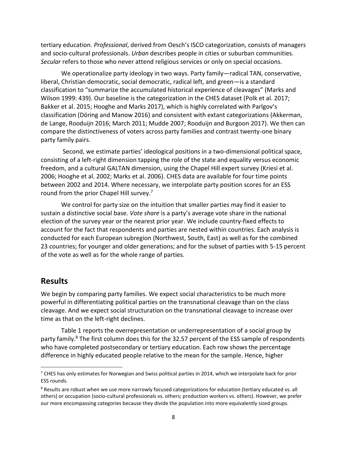tertiary education. *Professional*, derived from Oesch's ISCO categorization, consists of managers and socio-cultural professionals. *Urban* describes people in cities or suburban communities. *Secular* refers to those who never attend religious services or only on special occasions.

We operationalize party ideology in two ways. Party family—radical TAN, conservative, liberal, Christian democratic, social democratic, radical left, and green—is a standard classification to "summarize the accumulated historical experience of cleavages" (Marks and Wilson 1999: 439). Our baseline is the categorization in the CHES dataset (Polk et al. 2017; Bakker et al. 2015; Hooghe and Marks 2017), which is highly correlated with Parlgov's classification (Döring and Manow 2016) and consistent with extant categorizations (Akkerman, de Lange, Rooduijn 2016; March 2011; Mudde 2007; Rooduijn and Burgoon 2017). We then can compare the distinctiveness of voters across party families and contrast twenty-one binary party family pairs.

Second, we estimate parties' ideological positions in a two-dimensional political space, consisting of a left-right dimension tapping the role of the state and equality versus economic freedom, and a cultural GALTAN dimension, using the Chapel Hill expert survey (Kriesi et al. 2006; Hooghe et al. 2002; Marks et al. 2006). CHES data are available for four time points between 2002 and 2014. Where necessary, we interpolate party position scores for an ESS round from the prior Chapel Hill survey.<sup>7</sup>

We control for party size on the intuition that smaller parties may find it easier to sustain a distinctive social base. *Vote share* is a party's average vote share in the national election of the survey year or the nearest prior year. We include country-fixed effects to account for the fact that respondents and parties are nested within countries. Each analysis is conducted for each European subregion (Northwest, South, East) as well as for the combined 23 countries; for younger and older generations; and for the subset of parties with 5-15 percent of the vote as well as for the whole range of parties.

### **Results**

 $\overline{\phantom{a}}$ 

We begin by comparing party families. We expect social characteristics to be much more powerful in differentiating political parties on the transnational cleavage than on the class cleavage. And we expect social structuration on the transnational cleavage to increase over time as that on the left-right declines.

Table 1 reports the overrepresentation or underrepresentation of a social group by party family.<sup>8</sup> The first column does this for the 32.57 percent of the ESS sample of respondents who have completed postsecondary or tertiary education. Each row shows the percentage difference in highly educated people relative to the mean for the sample. Hence, higher

 $7$  CHES has only estimates for Norwegian and Swiss political parties in 2014, which we interpolate back for prior ESS rounds.

<sup>&</sup>lt;sup>8</sup> Results are robust when we use more narrowly focused categorizations for education (tertiary educated vs. all others) or occupation (socio-cultural professionals vs. others; production workers vs. others). However, we prefer our more encompassing categories because they divide the population into more equivalently sized groups.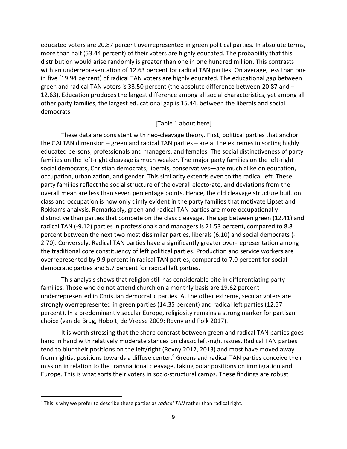educated voters are 20.87 percent overrepresented in green political parties. In absolute terms, more than half (53.44 percent) of their voters are highly educated. The probability that this distribution would arise randomly is greater than one in one hundred million. This contrasts with an underrepresentation of 12.63 percent for radical TAN parties. On average, less than one in five (19.94 percent) of radical TAN voters are highly educated. The educational gap between green and radical TAN voters is 33.50 percent (the absolute difference between 20.87 and – 12.63). Education produces the largest difference among all social characteristics, yet among all other party families, the largest educational gap is 15.44, between the liberals and social democrats.

#### [Table 1 about here]

These data are consistent with neo-cleavage theory. First, political parties that anchor the GALTAN dimension – green and radical TAN parties – are at the extremes in sorting highly educated persons, professionals and managers, and females. The social distinctiveness of party families on the left-right cleavage is much weaker. The major party families on the left-right social democrats, Christian democrats, liberals, conservatives—are much alike on education, occupation, urbanization, and gender. This similarity extends even to the radical left. These party families reflect the social structure of the overall electorate, and deviations from the overall mean are less than seven percentage points. Hence, the old cleavage structure built on class and occupation is now only dimly evident in the party families that motivate Lipset and Rokkan's analysis. Remarkably, green and radical TAN parties are more occupationally distinctive than parties that compete on the class cleavage. The gap between green (12.41) and radical TAN (-9.12) parties in professionals and managers is 21.53 percent, compared to 8.8 percent between the next two most dissimilar parties, liberals (6.10) and social democrats (- 2.70). Conversely, Radical TAN parties have a significantly greater over-representation among the traditional core constituency of left political parties. Production and service workers are overrepresented by 9.9 percent in radical TAN parties, compared to 7.0 percent for social democratic parties and 5.7 percent for radical left parties.

This analysis shows that religion still has considerable bite in differentiating party families. Those who do not attend church on a monthly basis are 19.62 percent underrepresented in Christian democratic parties. At the other extreme, secular voters are strongly overrepresented in green parties (14.35 percent) and radical left parties (12.57 percent). In a predominantly secular Europe, religiosity remains a strong marker for partisan choice (van de Brug, Hobolt, de Vreese 2009; Rovny and Polk 2017).

It is worth stressing that the sharp contrast between green and radical TAN parties goes hand in hand with relatively moderate stances on classic left-right issues. Radical TAN parties tend to blur their positions on the left/right (Rovny 2012, 2013) and most have moved away from rightist positions towards a diffuse center.<sup>9</sup> Greens and radical TAN parties conceive their mission in relation to the transnational cleavage, taking polar positions on immigration and Europe. This is what sorts their voters in socio-structural camps. These findings are robust

 $\overline{\phantom{a}}$ 

<sup>9</sup> This is why we prefer to describe these parties as *radical TAN* rather than radical right.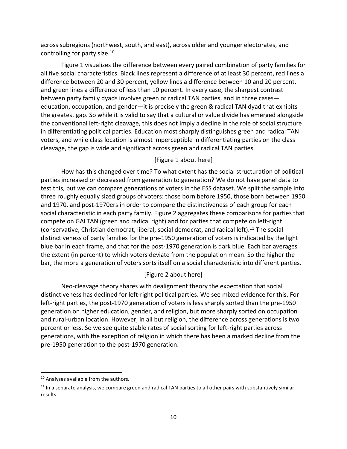across subregions (northwest, south, and east), across older and younger electorates, and controlling for party size.<sup>10</sup>

Figure 1 visualizes the difference between every paired combination of party families for all five social characteristics. Black lines represent a difference of at least 30 percent, red lines a difference between 20 and 30 percent, yellow lines a difference between 10 and 20 percent, and green lines a difference of less than 10 percent. In every case, the sharpest contrast between party family dyads involves green or radical TAN parties, and in three cases education, occupation, and gender—it is precisely the green & radical TAN dyad that exhibits the greatest gap. So while it is valid to say that a cultural or value divide has emerged alongside the conventional left-right cleavage, this does not imply a decline in the role of social structure in differentiating political parties. Education most sharply distinguishes green and radical TAN voters, and while class location is almost imperceptible in differentiating parties on the class cleavage, the gap is wide and significant across green and radical TAN parties.

#### [Figure 1 about here]

How has this changed over time? To what extent has the social structuration of political parties increased or decreased from generation to generation? We do not have panel data to test this, but we can compare generations of voters in the ESS dataset. We split the sample into three roughly equally sized groups of voters: those born before 1950, those born between 1950 and 1970, and post-1970ers in order to compare the distinctiveness of each group for each social characteristic in each party family. Figure 2 aggregates these comparisons for parties that compete on GALTAN (green and radical right) and for parties that compete on left-right (conservative, Christian democrat, liberal, social democrat, and radical left).<sup>11</sup> The social distinctiveness of party families for the pre-1950 generation of voters is indicated by the light blue bar in each frame, and that for the post-1970 generation is dark blue. Each bar averages the extent (in percent) to which voters deviate from the population mean. So the higher the bar, the more a generation of voters sorts itself on a social characteristic into different parties.

#### [Figure 2 about here]

Neo-cleavage theory shares with dealignment theory the expectation that social distinctiveness has declined for left-right political parties. We see mixed evidence for this. For left-right parties, the post-1970 generation of voters is less sharply sorted than the pre-1950 generation on higher education, gender, and religion, but more sharply sorted on occupation and rural-urban location. However, in all but religion, the difference across generations is two percent or less. So we see quite stable rates of social sorting for left-right parties across generations, with the exception of religion in which there has been a marked decline from the pre-1950 generation to the post-1970 generation.

l

 $10$  Analyses available from the authors.

 $11$  In a separate analysis, we compare green and radical TAN parties to all other pairs with substantively similar results.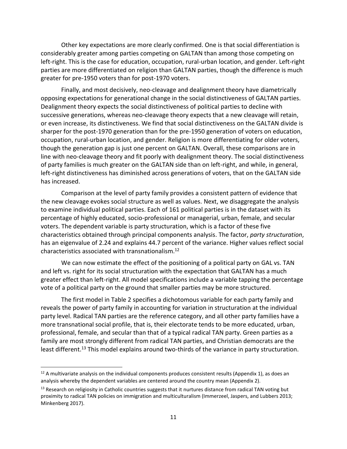Other key expectations are more clearly confirmed. One is that social differentiation is considerably greater among parties competing on GALTAN than among those competing on left-right. This is the case for education, occupation, rural-urban location, and gender. Left-right parties are more differentiated on religion than GALTAN parties, though the difference is much greater for pre-1950 voters than for post-1970 voters.

Finally, and most decisively, neo-cleavage and dealignment theory have diametrically opposing expectations for generational change in the social distinctiveness of GALTAN parties. Dealignment theory expects the social distinctiveness of political parties to decline with successive generations, whereas neo-cleavage theory expects that a new cleavage will retain, or even increase, its distinctiveness. We find that social distinctiveness on the GALTAN divide is sharper for the post-1970 generation than for the pre-1950 generation of voters on education, occupation, rural-urban location, and gender. Religion is more differentiating for older voters, though the generation gap is just one percent on GALTAN. Overall, these comparisons are in line with neo-cleavage theory and fit poorly with dealignment theory. The social distinctiveness of party families is much greater on the GALTAN side than on left-right, and while, in general, left-right distinctiveness has diminished across generations of voters, that on the GALTAN side has increased.

Comparison at the level of party family provides a consistent pattern of evidence that the new cleavage evokes social structure as well as values. Next, we disaggregate the analysis to examine individual political parties. Each of 161 political parties is in the dataset with its percentage of highly educated, socio-professional or managerial, urban, female, and secular voters. The dependent variable is party structuration, which is a factor of these five characteristics obtained through principal components analysis. The factor, *party structuration*, has an eigenvalue of 2.24 and explains 44.7 percent of the variance. Higher values reflect social characteristics associated with transnationalism. 12

We can now estimate the effect of the positioning of a political party on GAL vs. TAN and left vs. right for its social structuration with the expectation that GALTAN has a much greater effect than left-right. All model specifications include a variable tapping the percentage vote of a political party on the ground that smaller parties may be more structured.

The first model in Table 2 specifies a dichotomous variable for each party family and reveals the power of party family in accounting for variation in structuration at the individual party level. Radical TAN parties are the reference category, and all other party families have a more transnational social profile, that is, their electorate tends to be more educated, urban, professional, female, and secular than that of a typical radical TAN party. Green parties as a family are most strongly different from radical TAN parties, and Christian democrats are the least different.<sup>13</sup> This model explains around two-thirds of the variance in party structuration.

 $\overline{\phantom{a}}$ 

 $12$  A multivariate analysis on the individual components produces consistent results (Appendix 1), as does an analysis whereby the dependent variables are centered around the country mean (Appendix 2).

 $13$  Research on religiosity in Catholic countries suggests that it nurtures distance from radical TAN voting but proximity to radical TAN policies on immigration and multiculturalism (Immerzeel, Jaspers, and Lubbers 2013; Minkenberg 2017).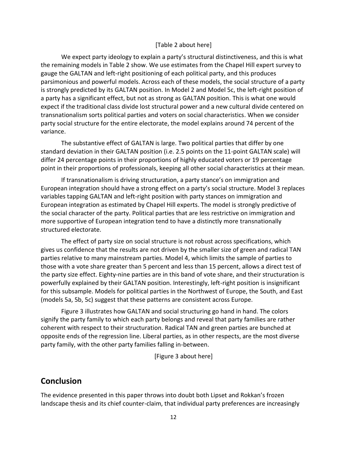#### [Table 2 about here]

We expect party ideology to explain a party's structural distinctiveness, and this is what the remaining models in Table 2 show. We use estimates from the Chapel Hill expert survey to gauge the GALTAN and left-right positioning of each political party, and this produces parsimonious and powerful models. Across each of these models, the social structure of a party is strongly predicted by its GALTAN position. In Model 2 and Model 5c, the left-right position of a party has a significant effect, but not as strong as GALTAN position. This is what one would expect if the traditional class divide lost structural power and a new cultural divide centered on transnationalism sorts political parties and voters on social characteristics. When we consider party social structure for the entire electorate, the model explains around 74 percent of the variance.

The substantive effect of GALTAN is large. Two political parties that differ by one standard deviation in their GALTAN position (i.e. 2.5 points on the 11-point GALTAN scale) will differ 24 percentage points in their proportions of highly educated voters or 19 percentage point in their proportions of professionals, keeping all other social characteristics at their mean.

If transnationalism is driving structuration, a party stance's on immigration and European integration should have a strong effect on a party's social structure. Model 3 replaces variables tapping GALTAN and left-right position with party stances on immigration and European integration as estimated by Chapel Hill experts. The model is strongly predictive of the social character of the party. Political parties that are less restrictive on immigration and more supportive of European integration tend to have a distinctly more transnationally structured electorate.

The effect of party size on social structure is not robust across specifications, which gives us confidence that the results are not driven by the smaller size of green and radical TAN parties relative to many mainstream parties. Model 4, which limits the sample of parties to those with a vote share greater than 5 percent and less than 15 percent, allows a direct test of the party size effect. Eighty-nine parties are in this band of vote share, and their structuration is powerfully explained by their GALTAN position. Interestingly, left-right position is insignificant for this subsample. Models for political parties in the Northwest of Europe, the South, and East (models 5a, 5b, 5c) suggest that these patterns are consistent across Europe.

Figure 3 illustrates how GALTAN and social structuring go hand in hand. The colors signify the party family to which each party belongs and reveal that party families are rather coherent with respect to their structuration. Radical TAN and green parties are bunched at opposite ends of the regression line. Liberal parties, as in other respects, are the most diverse party family, with the other party families falling in-between.

[Figure 3 about here]

### **Conclusion**

The evidence presented in this paper throws into doubt both Lipset and Rokkan's frozen landscape thesis and its chief counter-claim, that individual party preferences are increasingly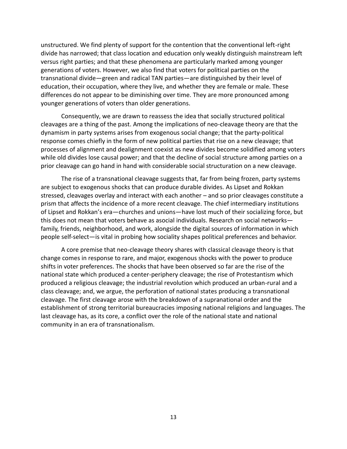unstructured. We find plenty of support for the contention that the conventional left-right divide has narrowed; that class location and education only weakly distinguish mainstream left versus right parties; and that these phenomena are particularly marked among younger generations of voters. However, we also find that voters for political parties on the transnational divide—green and radical TAN parties—are distinguished by their level of education, their occupation, where they live, and whether they are female or male. These differences do not appear to be diminishing over time. They are more pronounced among younger generations of voters than older generations.

Consequently, we are drawn to reassess the idea that socially structured political cleavages are a thing of the past. Among the implications of neo-cleavage theory are that the dynamism in party systems arises from exogenous social change; that the party-political response comes chiefly in the form of new political parties that rise on a new cleavage; that processes of alignment and dealignment coexist as new divides become solidified among voters while old divides lose causal power; and that the decline of social structure among parties on a prior cleavage can go hand in hand with considerable social structuration on a new cleavage.

The rise of a transnational cleavage suggests that, far from being frozen, party systems are subject to exogenous shocks that can produce durable divides. As Lipset and Rokkan stressed, cleavages overlay and interact with each another – and so prior cleavages constitute a prism that affects the incidence of a more recent cleavage. The chief intermediary institutions of Lipset and Rokkan's era—churches and unions—have lost much of their socializing force, but this does not mean that voters behave as asocial individuals. Research on social networks family, friends, neighborhood, and work, alongside the digital sources of information in which people self-select—is vital in probing how sociality shapes political preferences and behavior.

A core premise that neo-cleavage theory shares with classical cleavage theory is that change comes in response to rare, and major, exogenous shocks with the power to produce shifts in voter preferences. The shocks that have been observed so far are the rise of the national state which produced a center-periphery cleavage; the rise of Protestantism which produced a religious cleavage; the industrial revolution which produced an urban-rural and a class cleavage; and, we argue, the perforation of national states producing a transnational cleavage. The first cleavage arose with the breakdown of a supranational order and the establishment of strong territorial bureaucracies imposing national religions and languages. The last cleavage has, as its core, a conflict over the role of the national state and national community in an era of transnationalism.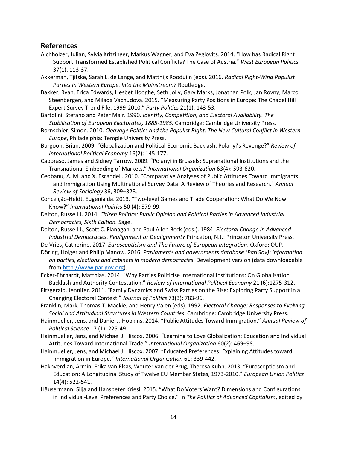#### **References**

- Aichholzer, Julian, Sylvia Kritzinger, Markus Wagner, and Eva Zeglovits. 2014. "How has Radical Right Support Transformed Established Political Conflicts? The Case of Austria." *West European Politics* 37(1): 113-37.
- Akkerman, Tjitske, Sarah L. de Lange, and Matthijs Rooduijn (eds). 2016. *Radical Right-Wing Populist Parties in Western Europe. Into the Mainstream?* Routledge.
- Bakker, Ryan, Erica Edwards, Liesbet Hooghe, Seth Jolly, Gary Marks, Jonathan Polk, Jan Rovny, Marco Steenbergen, and Milada Vachudova. 2015. "Measuring Party Positions in Europe: The Chapel Hill Expert Survey Trend File, 1999-2010." *Party Politics* 21(1): 143-53.
- Bartolini, Stefano and Peter Mair. 1990. *Identity, Competition, and Electoral Availability. The Stabilisation of European Electorates, 1885-1985.* Cambridge: Cambridge University Press.
- Bornschier, Simon. 2010. *Cleavage Politics and the Populist Right: The New Cultural Conflict in Western Europe*, Philadelphia: Temple University Press.
- Burgoon, Brian. 2009. "Globalization and Political-Economic Backlash: Polanyi's Revenge?" *Review of International Political Economy* 16(2): 145-177.
- Caporaso, James and Sidney Tarrow. 2009. "Polanyi in Brussels: Supranational Institutions and the Transnational Embedding of Markets." *International Organization* 63(4): 593-620.
- Ceobanu, A. M. and X. Escandell. 2010. "Comparative Analyses of Public Attitudes Toward Immigrants and Immigration Using Multinational Survey Data: A Review of Theories and Research." *Annual Review of Sociology* 36, 309–328.
- Conceição-Heldt, Eugenia da. 2013. "Two-level Games and Trade Cooperation: What Do We Now Know?" *International Politics* 50 (4): 579-99.
- Dalton, Russell J. 2014. *Citizen Politics: Public Opinion and Political Parties in Advanced Industrial Democracies, Sixth Edition.* Sage.
- Dalton, Russell J., Scott C. Flanagan, and Paul Allen Beck (eds.). 1984. *Electoral Change in Advanced Industrial Democracies. Realignment or Dealignment?* Princeton, N.J.: Princeton University Press.
- De Vries, Catherine. 2017. *Euroscepticism and The Future of European Integration*. Oxford: OUP.
- Döring, Holger and Philip Manow. 2016. *Parliaments and governments database (ParlGov): Information on parties, elections and cabinets in modern democracies*. Development version (data downloadable fro[m http://www.parlgov.org\)](http://www.parlgov.org/).
- Ecker-Ehrhardt, Matthias. 2014. "Why Parties Politicise International Institutions: On Globalisation Backlash and Authority Contestation." *Review of International Political Economy* 21 (6):1275-312.
- Fitzgerald, Jennifer. 2011. "Family Dynamics and Swiss Parties on the Rise: Exploring Party Support in a Changing Electoral Context." *Journal of Politics* 73(3): 783-96.
- Franklin, Mark, Thomas T. Mackie, and Henry Valen (eds). 1992. *Electoral Change: Responses to Evolving Social and Attitudinal Structures in Western Countries*, Cambridge: Cambridge University Press.
- Hainmueller, Jens, and Daniel J. Hopkins. 2014. "Public Attitudes Toward Immigration." *Annual Review of Political Science* 17 (1): 225-49.
- Hainmueller, Jens, and Michael J. Hiscox. 2006. "Learning to Love Globalization: Education and Individual Attitudes Toward International Trade." *International Organization* 60(2): 469–98.
- Hainmueller, Jens, and Michael J. Hiscox. 2007. "Educated Preferences: Explaining Attitudes toward Immigration in Europe." *International Organization* 61: 339-442.
- Hakhverdian, Armin, Erika van Elsas, Wouter van der Brug, Theresa Kuhn. 2013. "Euroscepticism and Education: A Longitudinal Study of Twelve EU Member States, 1973-2010." *European Union Politics* 14(4): 522-541.
- Häusermann, Silja and Hanspeter Kriesi. 2015. "What Do Voters Want? Dimensions and Configurations in Individual-Level Preferences and Party Choice." In *The Politics of Advanced Capitalism*, edited by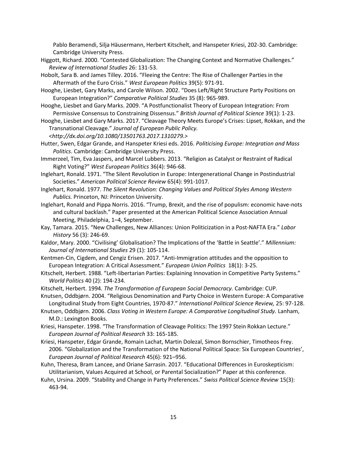Pablo Beramendi, Silja Häusermann, Herbert Kitschelt, and Hanspeter Kriesi, 202-30. Cambridge: Cambridge University Press.

- Higgott, Richard. 2000. "Contested Globalization: The Changing Context and Normative Challenges." *Review of International Studies* 26: 131-53.
- Hobolt, Sara B. and James Tilley. 2016. "Fleeing the Centre: The Rise of Challenger Parties in the Aftermath of the Euro Crisis." *West European Politics* 39(5): 971-91.
- Hooghe, Liesbet, Gary Marks, and Carole Wilson. 2002. "Does Left/Right Structure Party Positions on European Integration?" *Comparative Political Studies* 35 (8): 965-989.
- Hooghe, Liesbet and Gary Marks. 2009. "A Postfunctionalist Theory of European Integration: From Permissive Consensus to Constraining Dissensus." *British Journal of Political Science* 39(1): 1-23.
- Hooghe, Liesbet and Gary Marks. 2017. "Cleavage Theory Meets Europe's Crises: Lipset, Rokkan, and the Transnational Cleavage." *Journal of European Public Policy.*

<*http://dx.doi.org/10.1080/13501763.2017.1310279.>*

- Hutter, Swen, Edgar Grande, and Hanspeter Kriesi eds. 2016. *Politicising Europe: Integration and Mass Politics*. Cambridge: Cambridge University Press.
- Immerzeel, Tim, Eva Jaspers, and Marcel Lubbers. 2013. "Religion as Catalyst or Restraint of Radical Right Voting?" *West European Politics* 36(4): 946-68.
- Inglehart, Ronald. 1971. "The Silent Revolution in Europe: Intergenerational Change in Postindustrial Societies." *American Political Science Review* 65(4): 991-1017.
- Inglehart, Ronald. 1977. *The Silent Revolution: Changing Values and Political Styles Among Western Publics.* Princeton, NJ: Princeton University.
- Inglehart, Ronald and Pippa Norris. 2016. "Trump, Brexit, and the rise of populism: economic have-nots and cultural backlash." Paper presented at the American Political Science Association Annual Meeting, Philadelphia, 1–4, September.
- Kay, Tamara. 2015. "New Challenges, New Alliances: Union Politicization in a Post-NAFTA Era." *Labor History* 56 (3): 246-69.
- Kaldor, Mary. 2000. "Civilising' Globalisation? The Implications of the 'Battle in Seattle'." *Millennium: Journal of International Studies* 29 (1): 105-114.
- Kentmen-Cin, Cigdem, and Cengiz Erisen. 2017. "Anti-Immigration attitudes and the opposition to European Integration: A Critical Assessment." *European Union Politics* 18(1): 3-25.
- Kitschelt, Herbert. 1988. "Left-libertarian Parties: Explaining Innovation in Competitive Party Systems." *World Politics* 40 (2): 194-234.
- Kitschelt, Herbert. 1994. *The Transformation of European Social Democracy.* Cambridge: CUP.
- Knutsen, Oddbjørn. 2004. "Religious Denomination and Party Choice in Western Europe: A Comparative Longitudinal Study from Eight Countries, 1970-87." *International Political Science Review,* 25: 97-128.
- Knutsen, Oddbjørn. 2006. *Class Voting in Western Europe: A Comparative Longitudinal Study.* Lanham, M.D.: Lexington Books.
- Kriesi, Hanspeter. 1998. "The Transformation of Cleavage Politics: The 1997 Stein Rokkan Lecture." *European Journal of Political Research* 33: 165-185.
- Kriesi, Hanspeter, Edgar Grande, Romain Lachat, Martin Dolezal, Simon Bornschier, Timotheos Frey. 2006. "Globalization and the Transformation of the National Political Space: Six European Countries', *European Journal of Political Research* 45(6): 921–956.
- Kuhn, Theresa, Bram Lancee, and Oriane Sarrasin. 2017. "Educational Differences in Euroskepticism: Utilitarianism, Values Acquired at School, or Parental Socialization?" Paper at this conference.
- Kuhn, Ursina. 2009. "Stability and Change in Party Preferences." *Swiss Political Science Review* 15(3): 463-94.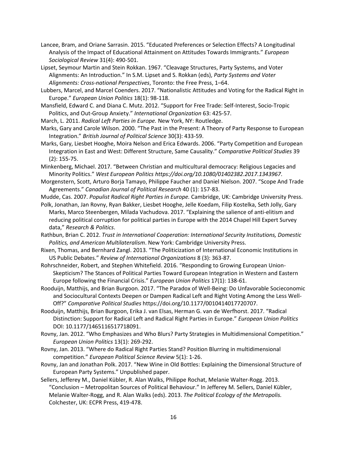Lancee, Bram, and Oriane Sarrasin. 2015. "Educated Preferences or Selection Effects? A Longitudinal Analysis of the Impact of Educational Attainment on Attitudes Towards Immigrants." *European Sociological Review* 31(4): 490-501.

Lipset, Seymour Martin and Stein Rokkan. 1967. "Cleavage Structures, Party Systems, and Voter Alignments: An Introduction." In S.M. Lipset and S. Rokkan (eds), *Party Systems and Voter Alignments: Cross-national Perspectives*, Toronto: the Free Press, 1–64.

Lubbers, Marcel, and Marcel Coenders. 2017. "Nationalistic Attitudes and Voting for the Radical Right in Europe." *European Union Politics* 18(1): 98-118.

Mansfield, Edward C. and Diana C. Mutz. 2012. "Support for Free Trade: Self-Interest, Socio-Tropic Politics, and Out-Group Anxiety." *International Organization* 63: 425-57.

March, L. 2011. *Radical Left Parties in Europe.* New York, NY: Routledge.

Marks, Gary and Carole Wilson. 2000. "The Past in the Present: A Theory of Party Response to European Integration." *British Journal of Political Science* 30(3): 433-59.

Marks, Gary, Liesbet Hooghe, Moira Nelson and Erica Edwards. 2006. "Party Competition and European Integration in East and West: Different Structure, Same Causality." *Comparative Political Studies* 39 (2): 155-75.

Minkenberg, Michael. 2017. "Between Christian and multicultural democracy: Religious Legacies and Minority Politics." *West European Politics https://doi.org/10.1080/01402382.2017.1343967.*

Morgenstern, Scott, Arturo Borja Tamayo, Philippe Faucher and Daniel Nielson. 2007. "Scope And Trade Agreements." *Canadian Journal of Political Research* 40 (1): 157-83.

Mudde, Cas. 2007. *Populist Radical Right Parties in Europe.* Cambridge, UK: Cambridge University Press. Polk, Jonathan, Jan Rovny, Ryan Bakker, Liesbet Hooghe, Jelle Koedam, Filip Kostelka, Seth Jolly, Gary

Marks, Marco Steenbergen, Milada Vachudova. 2017. "Explaining the salience of anti-elitism and reducing political corruption for political parties in Europe with the 2014 Chapel Hill Expert Survey data," *Research & Politics*.

Rathbun, Brian C. 2012. *Trust in International Cooperation: International Security Institutions, Domestic Politics, and American Multilateralism*. New York: Cambridge University Press.

Rixen, Thomas, and Bernhard Zangl. 2013. "The Politicization of International Economic Institutions in US Public Debates." *Review of International Organizations* 8 (3): 363-87.

Rohrschneider, Robert, and Stephen Whitefield. 2016. "Responding to Growing European Union-Skepticism? The Stances of Political Parties Toward European Integration in Western and Eastern Europe following the Financial Crisis." *European Union Politics* 17(1): 138-61.

Rooduijn, Matthijs, and Brian Burgoon. 2017. "The Paradox of Well-Being: Do Unfavorable Socieconomic and Sociocultural Contexts Deepen or Dampen Radical Left and Right Voting Among the Less Well-Off?" *Comparative Political Studies* https://doi.org/10.1177/0010414017720707.

Rooduijn, Matthijs, Brian Burgoon, Erika J. van Elsas, Herman G. van de Werfhorst. 2017. "Radical Distinction: Support for Radical Left and Radical Right Parties in Europe." *European Union Politics* DOI: 10.1177/1465116517718091.

- Rovny, Jan. 2012. "Who Emphasizes and Who Blurs? Party Strategies in Multidimensional Competition." *European Union Politics* 13(1): 269-292.
- Rovny, Jan. 2013. "Where do Radical Right Parties Stand? Position Blurring in multidimensional competition." *European Political Science Review* 5(1): 1-26.
- Rovny, Jan and Jonathan Polk. 2017. "New Wine in Old Bottles: Explaining the Dimensional Structure of European Party Systems." Unpublished paper.
- Sellers, Jefferey M., Daniel Kübler, R. Alan Walks, Philippe Rochat, Melanie Walter-Rogg. 2013. "Conclusion – Metropolitan Sources of Political Behaviour." In Jefferey M. Sellers, Daniel Kübler, Melanie Walter-Rogg, and R. Alan Walks (eds). 2013. *The Political Ecology of the Metropolis.*  Colchester, UK: ECPR Press, 419-478.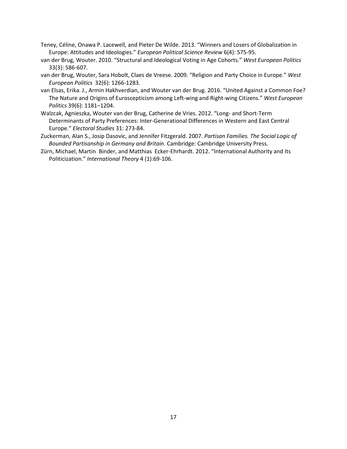- Teney, Céline, Onawa P. Lacewell, and Pieter De Wilde. 2013. "Winners and Losers of Globalization in Europe: Attitudes and Ideologies." *European Political Science Review* 6(4): 575-95.
- van der Brug, Wouter. 2010. "Structural and Ideological Voting in Age Cohorts." *West European Politics* 33(3): 586-607.
- van der Brug, Wouter, Sara Hobolt, Claes de Vreese. 2009. "Religion and Party Choice in Europe." *West European Politics* 32(6): 1266-1283.
- van Elsas, Erika. J., Armin Hakhverdian, and Wouter van der Brug. 2016. "United Against a Common Foe? The Nature and Origins of Euroscepticism among Left-wing and Right-wing Citizens." *West European Politics* 39(6): 1181–1204.
- Walzcak, Agnieszka, Wouter van der Brug, Catherine de Vries. 2012. "Long- and Short-Term Determinants of Party Preferences: Inter-Generational Differences in Western and East Central Europe." *Electoral Studies* 31: 273-84.
- Zuckerman, Alan S., Josip Dasovic, and Jennifer Fitzgerald. 2007. *Partisan Families. The Social Logic of Bounded Partisanship in Germany and Britain.* Cambridge: Cambridge University Press.
- Zürn, Michael, Martin Binder, and Matthias Ecker-Ehrhardt. 2012. "International Authority and Its Politicization." *International Theory* 4 (1):69-106.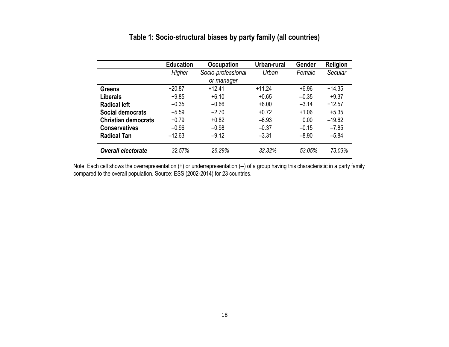# **Table 1: Socio-structural biases by party family (all countries)**

|                            | <b>Education</b> | <b>Occupation</b>  | Urban-rural | Gender  | Religion |  |
|----------------------------|------------------|--------------------|-------------|---------|----------|--|
|                            | Higher           | Socio-professional | Urban       | Female  | Secular  |  |
|                            |                  | or manager         |             |         |          |  |
| <b>Greens</b>              | $+20.87$         | $+12.41$           | $+11.24$    | $+6.96$ | $+14.35$ |  |
| <b>Liberals</b>            | $+9.85$          | $+6.10$            | $+0.65$     | $-0.35$ | $+9.37$  |  |
| <b>Radical left</b>        | $-0.35$          | $-0.66$            | $+6.00$     | $-3.14$ | $+12.57$ |  |
| Social democrats           | $-5.59$          | $-2.70$            | $+0.72$     | $+1.06$ | $+5.35$  |  |
| <b>Christian democrats</b> | $+0.79$          | $+0.82$            | $-6.93$     | 0.00    | $-19.62$ |  |
| <b>Conservatives</b>       | $-0.96$          | $-0.98$            | $-0.37$     | $-0.15$ | $-7.85$  |  |
| <b>Radical Tan</b>         | $-12.63$         | $-9.12$            | $-3.31$     | $-8.90$ | $-5.84$  |  |
| <b>Overall electorate</b>  | 32.57%           | 26.29%             | 32.32%      | 53.05%  | 73.03%   |  |

Note: Each cell shows the overrepresentation  $(+)$  or underrepresentation  $(-)$  of a group having this characteristic in a party family compared to the overall population. Source: ESS (2002-2014) for 23 countries.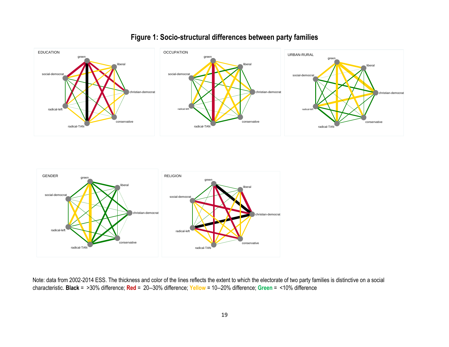

### **Figure 1: Socio-structural differences between party families**



Note: data from 2002-2014 ESS. The thickness and color of the lines reflects the extent to which the electorate of two party families is distinctive on a social characteristic. **Black** = >30% difference; **Red** = 20‒30% difference; **Yellow** = 10‒20% difference; **Green** = <10% difference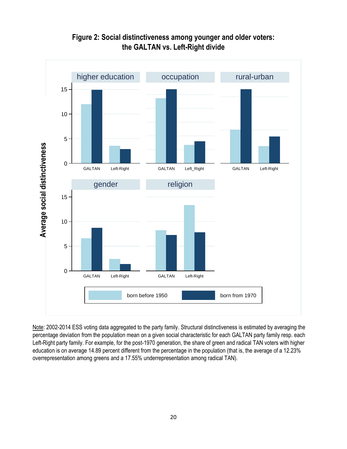

### **Figure 2: Social distinctiveness among younger and older voters: the GALTAN vs. Left-Right divide**

Note: 2002-2014 ESS voting data aggregated to the party family. Structural distinctiveness is estimated by averaging the percentage deviation from the population mean on a given social characteristic for each GALTAN party family resp. each Left-Right party family. For example, for the post-1970 generation, the share of green and radical TAN voters with higher education is on average 14.89 percent different from the percentage in the population (that is, the average of a 12.23% overrepresentation among greens and a 17.55% underrepresentation among radical TAN).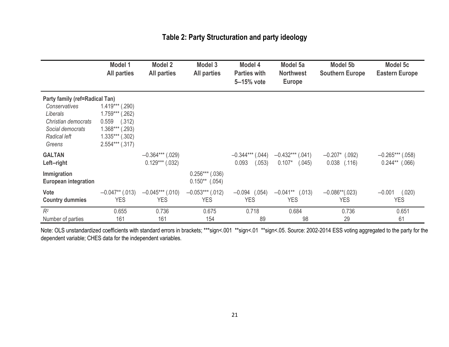## **Table 2: Party Structuration and party ideology**

|                                                                                                                                         | Model 1<br><b>All parties</b>                                                                                              | <b>Model 2</b><br><b>All parties</b>    | Model 3<br><b>All parties</b>            | Model 4<br><b>Parties with</b><br>5-15% vote | Model 5a<br><b>Northwest</b><br><b>Europe</b> | Model 5b<br><b>Southern Europe</b>   | Model 5c<br><b>Eastern Europe</b>      |
|-----------------------------------------------------------------------------------------------------------------------------------------|----------------------------------------------------------------------------------------------------------------------------|-----------------------------------------|------------------------------------------|----------------------------------------------|-----------------------------------------------|--------------------------------------|----------------------------------------|
| Party family (ref=Radical Tan)<br>Conservatives<br>Liberals<br>Christian democrats<br>Social democrats<br><b>Radical left</b><br>Greens | $1.419***$ (.290)<br>$1.759***$ (.262)<br>(.312)<br>0.559<br>$1.368***$ (.293)<br>$1.335***$ $(.302)$<br>$2.554***$ (.317) |                                         |                                          |                                              |                                               |                                      |                                        |
| <b>GALTAN</b><br>Left-right                                                                                                             |                                                                                                                            | $-0.364***$ (.029)<br>$0.129***$ (.032) |                                          | $-0.344***$ (.044)<br>0.093<br>(.053)        | $-0.432***$ (.041)<br>$0.107*$<br>(.045)      | $-0.207$ * (.092)<br>0.038<br>(.116) | $-0.265***$ (.058)<br>$0.244**$ (.066) |
| <b>Immigration</b><br><b>European integration</b>                                                                                       |                                                                                                                            |                                         | $0.256***$ (.036)<br>$0.150**$<br>(.054) |                                              |                                               |                                      |                                        |
| <b>Vote</b><br><b>Country dummies</b>                                                                                                   | $-0.047**$ (.013)<br><b>YES</b>                                                                                            | $-0.045***$ (.010)<br><b>YES</b>        | $-0.053***$ (.012)<br><b>YES</b>         | $-0.094$ (.054)<br><b>YES</b>                | $-0.041**$ (.013)<br><b>YES</b>               | $-0.086**$ (.023)<br><b>YES</b>      | $-0.001$<br>(.020)<br><b>YES</b>       |
| $R^2$<br>Number of parties                                                                                                              | 0.655<br>161                                                                                                               | 0.736<br>161                            | 0.675<br>154                             | 0.718<br>89                                  | 0.684<br>98                                   | 0.736<br>29                          | 0.651<br>61                            |

Note: OLS unstandardized coefficients with standard errors in brackets; \*\*\*sign<.001 \*\*sign<.01 \*\*sign<.05. Source: 2002-2014 ESS voting aggregated to the party for the dependent variable; CHES data for the independent variables.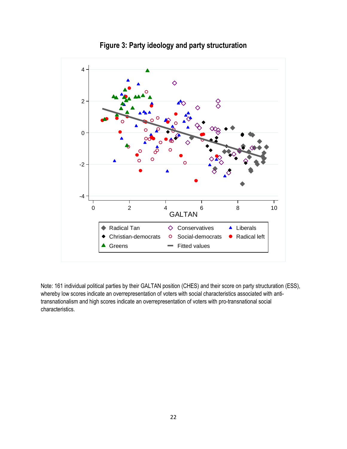

**Figure 3: Party ideology and party structuration**

Note: 161 individual political parties by their GALTAN position (CHES) and their score on party structuration (ESS), whereby low scores indicate an overrepresentation of voters with social characteristics associated with antitransnationalism and high scores indicate an overrepresentation of voters with pro-transnational social characteristics.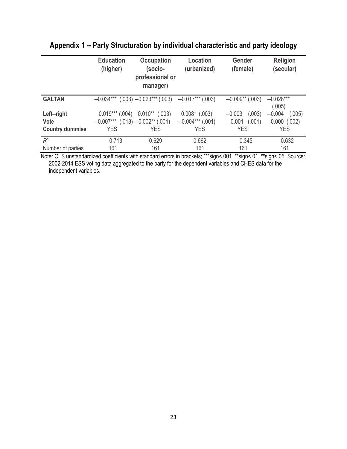|                        | <b>Education</b><br>(higher) | <b>Occupation</b><br>(socio-<br>professional or<br>manager) | Location<br>(urbanized) | Gender<br>(female) | <b>Religion</b><br>(secular) |  |
|------------------------|------------------------------|-------------------------------------------------------------|-------------------------|--------------------|------------------------------|--|
| <b>GALTAN</b>          | $-0.034***$                  | $(.003)$ $-0.023***$ $(.003)$                               | $-0.017***$ (.003)      | $-0.009**$ (.003)  | $-0.028***$<br>(.005)        |  |
| Left-right             | $0.019***$ (.004)            | $0.010**$ (.003)                                            | $0.008*$ (.003)         | (.003)<br>$-0.003$ | $-0.004$<br>(.005)           |  |
| Vote                   | $-0.007***$                  | $(.013) -0.002**(.001)$                                     | $-0.004***$ (.001)      | 0.001<br>(.001)    | $0.000$ $(.002)$             |  |
| <b>Country dummies</b> | <b>YES</b>                   | <b>YES</b>                                                  | <b>YES</b>              | <b>YES</b>         | <b>YES</b>                   |  |
| R <sup>2</sup>         | 0.713                        | 0.629                                                       | 0.662                   | 0.345              | 0.632                        |  |
| Number of parties      | 161                          | 161                                                         | 161                     | 161                | 161                          |  |

# **Appendix 1 -- Party Structuration by individual characteristic and party ideology**

Note: OLS unstandardized coefficients with standard errors in brackets; \*\*\*sign<.001 \*\*sign<.01 \*\*sign<.05. Source: 2002-2014 ESS voting data aggregated to the party for the dependent variables and CHES data for the independent variables.